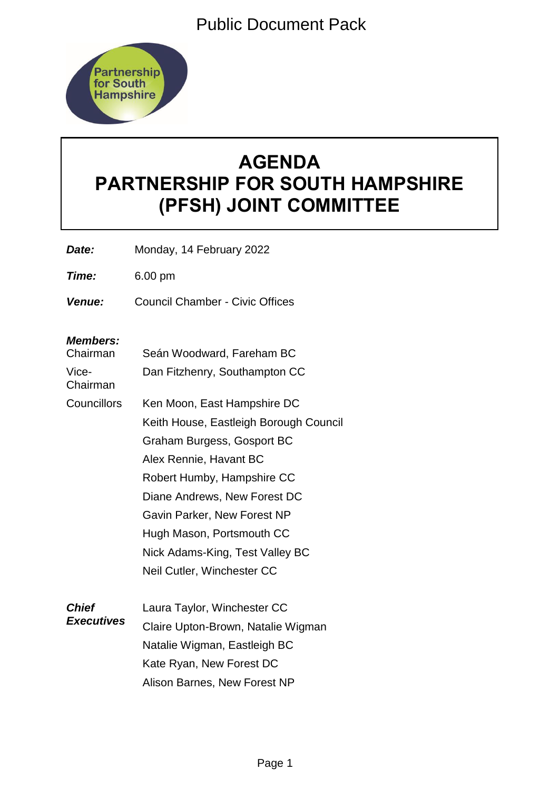Public Document Pack



# **AGENDA PARTNERSHIP FOR SOUTH HAMPSHIRE (PFSH) JOINT COMMITTEE**

*Date:* Monday, 14 February 2022

*Time:* 6.00 pm

*Venue:* Council Chamber - Civic Offices

# *Members:*

| Chairman                          | Seán Woodward, Fareham BC              |
|-----------------------------------|----------------------------------------|
| Vice-<br>Chairman                 | Dan Fitzhenry, Southampton CC          |
| Councillors                       | Ken Moon, East Hampshire DC            |
|                                   | Keith House, Eastleigh Borough Council |
|                                   | Graham Burgess, Gosport BC             |
|                                   | Alex Rennie, Havant BC                 |
|                                   | Robert Humby, Hampshire CC             |
|                                   | Diane Andrews, New Forest DC           |
|                                   | Gavin Parker, New Forest NP            |
|                                   | Hugh Mason, Portsmouth CC              |
|                                   | Nick Adams-King, Test Valley BC        |
|                                   | Neil Cutler, Winchester CC             |
| <b>Chief</b><br><b>Executives</b> | Laura Taylor, Winchester CC            |
|                                   | Claire Upton-Brown, Natalie Wigman     |
|                                   | Natalie Wigman, Eastleigh BC           |
|                                   | Kate Ryan, New Forest DC               |

Alison Barnes, New Forest NP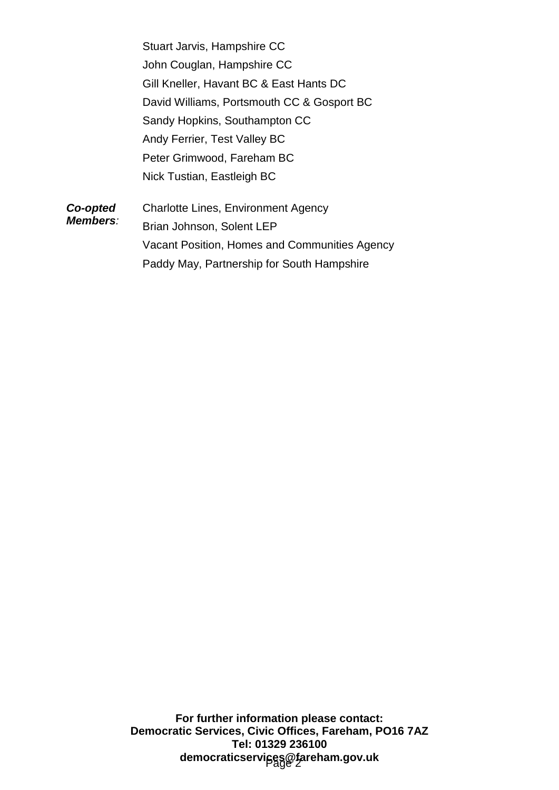Stuart Jarvis, Hampshire CC John Couglan, Hampshire CC Gill Kneller, Havant BC & East Hants DC David Williams, Portsmouth CC & Gosport BC Sandy Hopkins, Southampton CC Andy Ferrier, Test Valley BC Peter Grimwood, Fareham BC Nick Tustian, Eastleigh BC

*Co-opted Members:* Charlotte Lines, Environment Agency Brian Johnson, Solent LEP Vacant Position, Homes and Communities Agency Paddy May, Partnership for South Hampshire

> **For further information please contact: Democratic Services, Civic Offices, Fareham, PO16 7AZ Tel: 01329 236100** democraticservi<sub>j</sub>ces@fareham.gov.uk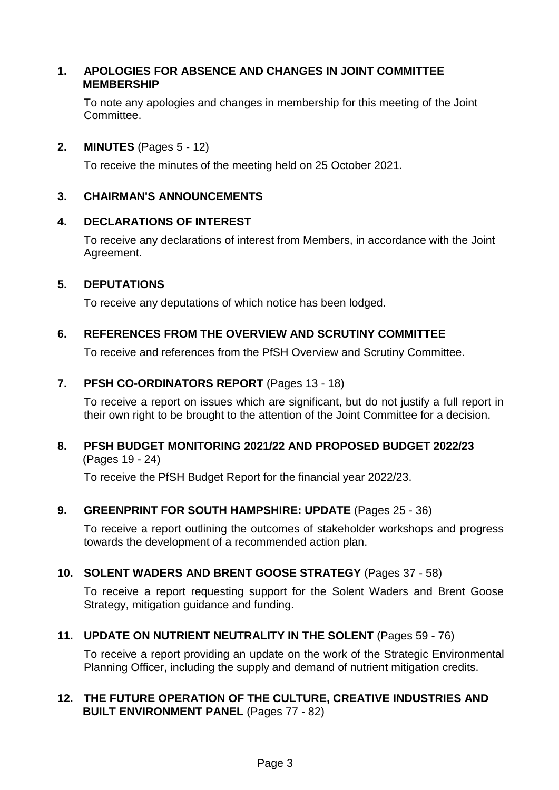### **1. APOLOGIES FOR ABSENCE AND CHANGES IN JOINT COMMITTEE MEMBERSHIP**

To note any apologies and changes in membership for this meeting of the Joint Committee.

#### **2. MINUTES** (Pages 5 - 12)

To receive the minutes of the meeting held on 25 October 2021.

#### **3. CHAIRMAN'S ANNOUNCEMENTS**

### **4. DECLARATIONS OF INTEREST**

To receive any declarations of interest from Members, in accordance with the Joint Agreement.

## **5. DEPUTATIONS**

To receive any deputations of which notice has been lodged.

### **6. REFERENCES FROM THE OVERVIEW AND SCRUTINY COMMITTEE**

To receive and references from the PfSH Overview and Scrutiny Committee.

### **7. PFSH CO-ORDINATORS REPORT** (Pages 13 - 18)

To receive a report on issues which are significant, but do not justify a full report in their own right to be brought to the attention of the Joint Committee for a decision.

### **8. PFSH BUDGET MONITORING 2021/22 AND PROPOSED BUDGET 2022/23** (Pages 19 - 24)

To receive the PfSH Budget Report for the financial year 2022/23.

# **9. GREENPRINT FOR SOUTH HAMPSHIRE: UPDATE** (Pages 25 - 36)

To receive a report outlining the outcomes of stakeholder workshops and progress towards the development of a recommended action plan.

# **10. SOLENT WADERS AND BRENT GOOSE STRATEGY** (Pages 37 - 58)

To receive a report requesting support for the Solent Waders and Brent Goose Strategy, mitigation guidance and funding.

# **11. UPDATE ON NUTRIENT NEUTRALITY IN THE SOLENT** (Pages 59 - 76)

To receive a report providing an update on the work of the Strategic Environmental Planning Officer, including the supply and demand of nutrient mitigation credits.

## **12. THE FUTURE OPERATION OF THE CULTURE, CREATIVE INDUSTRIES AND BUILT ENVIRONMENT PANEL** (Pages 77 - 82)